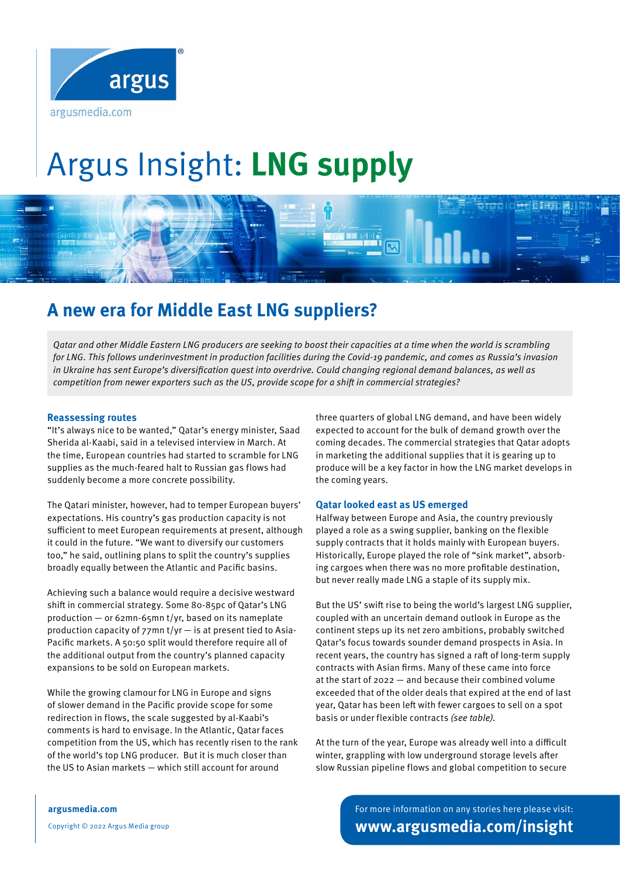

# Argus Insight: **LNG supply**



## **A new era for Middle East LNG suppliers?**

Qatar and other Middle Eastern LNG producers are seeking to boost their capacities at a time when the world is scrambling for LNG. This follows underinvestment in production facilities during the Covid-19 pandemic, and comes as Russia's invasion in Ukraine has sent Europe's diversification quest into overdrive. Could changing regional demand balances, as well as competition from newer exporters such as the US, provide scope for a shift in commercial strategies?

#### **Reassessing routes**

"It's always nice to be wanted," Qatar's energy minister, Saad Sherida al-Kaabi, said in a televised interview in March. At the time, European countries had started to scramble for LNG supplies as the much-feared halt to Russian gas flows had suddenly become a more concrete possibility.

The Qatari minister, however, had to temper European buyers' expectations. His country's gas production capacity is not sufficient to meet European requirements at present, although it could in the future. "We want to diversify our customers too," he said, outlining plans to split the country's supplies broadly equally between the Atlantic and Pacific basins.

Achieving such a balance would require a decisive westward shift in commercial strategy. Some 80-85pc of Qatar's LNG production — or 62mn-65mn t/yr, based on its nameplate production capacity of 77mn t/yr — is at present tied to Asia-Pacific markets. A 50:50 split would therefore require all of the additional output from the country's planned capacity expansions to be sold on European markets.

While the growing clamour for LNG in Europe and signs of slower demand in the Pacific provide scope for some redirection in flows, the scale suggested by al-Kaabi's comments is hard to envisage. In the Atlantic, Qatar faces competition from the US, which has recently risen to the rank of the world's top LNG producer. But it is much closer than the US to Asian markets — which still account for around

three quarters of global LNG demand, and have been widely expected to account for the bulk of demand growth over the coming decades. The commercial strategies that Qatar adopts in marketing the additional supplies that it is gearing up to produce will be a key factor in how the LNG market develops in the coming years.

#### **Qatar looked east as US emerged**

Halfway between Europe and Asia, the country previously played a role as a swing supplier, banking on the flexible supply contracts that it holds mainly with European buyers. Historically, Europe played the role of "sink market", absorbing cargoes when there was no more profitable destination, but never really made LNG a staple of its supply mix.

But the US' swift rise to being the world's largest LNG supplier, coupled with an uncertain demand outlook in Europe as the continent steps up its net zero ambitions, probably switched Qatar's focus towards sounder demand prospects in Asia. In recent years, the country has signed a raft of long-term supply contracts with Asian firms. Many of these came into force at the start of 2022 — and because their combined volume exceeded that of the older deals that expired at the end of last year, Qatar has been left with fewer cargoes to sell on a spot basis or under flexible contracts (see table).

At the turn of the year, Europe was already well into a difficult winter, grappling with low underground storage levels after slow Russian pipeline flows and global competition to secure

**argusmedia.com**

Copyright © 2022 Argus Media group

For more information on any stories here please visit: **www.argusmedia.com/insight**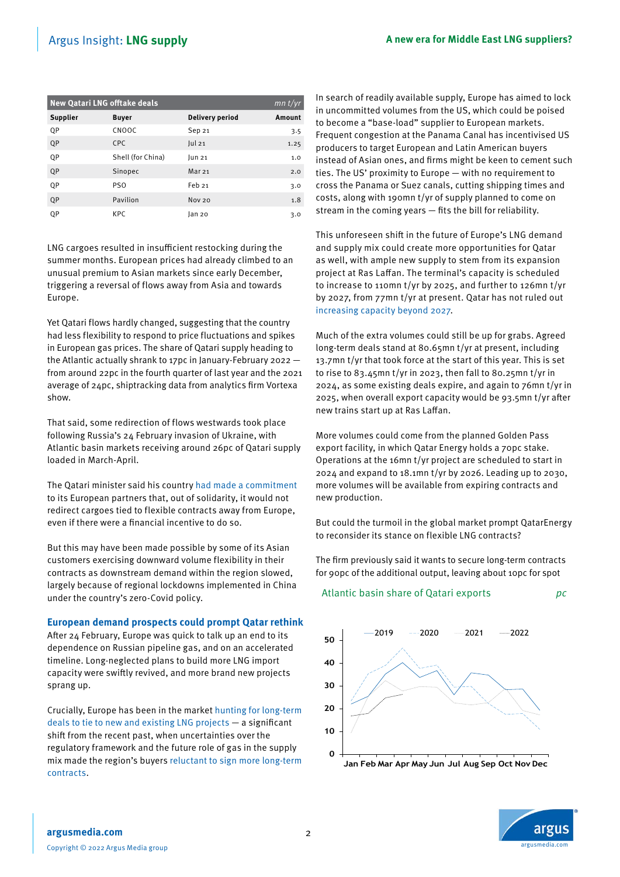| <b>New Qatari LNG offtake deals</b> |                   |                   |        |
|-------------------------------------|-------------------|-------------------|--------|
| Supplier                            | <b>Buyer</b>      | Delivery period   | Amount |
| QP                                  | CNOOC             | Sep 21            | 3.5    |
| QP                                  | CPC.              | ul21              | 1.25   |
| 0P                                  | Shell (for China) | lun 21            | 1.0    |
| QP                                  | Sinopec           | Mar <sub>21</sub> | 2.0    |
| QP                                  | PS <sub>0</sub>   | Feb 21            | 3.0    |
| QP                                  | Pavilion          | <b>Nov 20</b>     | 1.8    |
| QP                                  | KPC.              | lan 20            | 3.0    |

LNG cargoes resulted in insufficient restocking during the summer months. European prices had already climbed to an unusual premium to Asian markets since early December, triggering a reversal of flows away from Asia and towards Europe.

Yet Qatari flows hardly changed, suggesting that the country had less flexibility to respond to price fluctuations and spikes in European gas prices. The share of Qatari supply heading to the Atlantic actually shrank to 17pc in January-February 2022 from around 22pc in the fourth quarter of last year and the 2021 average of 24pc, shiptracking data from analytics firm Vortexa show.

That said, some redirection of flows westwards took place following Russia's 24 February invasion of Ukraine, with Atlantic basin markets receiving around 26pc of Qatari supply loaded in March-April.

The Qatari minister said his country [had made a commitment](https://direct.argusmedia.com/newsandanalysis/article/2315679) to its European partners that, out of solidarity, it would not redirect cargoes tied to flexible contracts away from Europe, even if there were a financial incentive to do so.

But this may have been made possible by some of its Asian customers exercising downward volume flexibility in their contracts as downstream demand within the region slowed, largely because of regional lockdowns implemented in China under the country's zero-Covid policy.

#### **European demand prospects could prompt Qatar rethink**

After 24 February, Europe was quick to talk up an end to its dependence on Russian pipeline gas, and on an accelerated timeline. Long-neglected plans to build more LNG import capacity were swiftly revived, and more brand new projects sprang up.

Crucially, Europe has been in the market [hunting for long-term](https://direct.argusmedia.com/newsandanalysis/article/2313787)  [deals to tie to new and existing LNG projects](https://direct.argusmedia.com/newsandanalysis/article/2313787) — a significant shift from the recent past, when uncertainties over the regulatory framework and the future role of gas in the supply mix made the region's buyers [reluctant to sign more long-term](https://direct.argusmedia.com/newsandanalysis/article/2304124)  [contracts.](https://direct.argusmedia.com/newsandanalysis/article/2304124)

In search of readily available supply, Europe has aimed to lock in uncommitted volumes from the US, which could be poised to become a "base-load" supplier to European markets. Frequent congestion at the Panama Canal has incentivised US producers to target European and Latin American buyers instead of Asian ones, and firms might be keen to cement such ties. The US' proximity to Europe — with no requirement to cross the Panama or Suez canals, cutting shipping times and costs, along with 190mn t/yr of supply planned to come on stream in the coming years — fits the bill for reliability.

This unforeseen shift in the future of Europe's LNG demand and supply mix could create more opportunities for Qatar as well, with ample new supply to stem from its expansion project at Ras Laffan. The terminal's capacity is scheduled to increase to 110mn t/yr by 2025, and further to 126mn t/yr by 2027, from 77mn t/yr at present. Qatar has not ruled out [increasing capacity beyond 2027.](https://direct.argusmedia.com/newsandanalysis/article/2149567)

Much of the extra volumes could still be up for grabs. Agreed long-term deals stand at 80.65mn t/yr at present, including 13.7mn t/yr that took force at the start of this year. This is set to rise to 83.45mn t/yr in 2023, then fall to 80.25mn t/yr in 2024, as some existing deals expire, and again to 76mn t/yr in 2025, when overall export capacity would be 93.5mn t/yr after new trains start up at Ras Laffan.

More volumes could come from the planned Golden Pass export facility, in which Qatar Energy holds a 70pc stake. Operations at the 16mn t/yr project are scheduled to start in 2024 and expand to 18.1mn t/yr by 2026. Leading up to 2030, more volumes will be available from expiring contracts and new production.

But could the turmoil in the global market prompt QatarEnergy to reconsider its stance on flexible LNG contracts?

The firm previously said it wants to secure long-term contracts for 90pc of the additional output, leaving about 10pc for spot

#### Atlantic basin share of Qatari exports pc



argusmedia.com